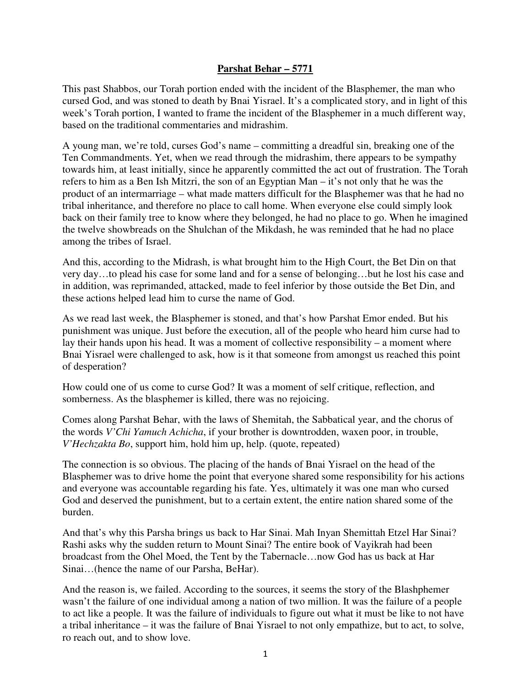## **Parshat Behar – 5771**

This past Shabbos, our Torah portion ended with the incident of the Blasphemer, the man who cursed God, and was stoned to death by Bnai Yisrael. It's a complicated story, and in light of this week's Torah portion, I wanted to frame the incident of the Blasphemer in a much different way, based on the traditional commentaries and midrashim.

A young man, we're told, curses God's name – committing a dreadful sin, breaking one of the Ten Commandments. Yet, when we read through the midrashim, there appears to be sympathy towards him, at least initially, since he apparently committed the act out of frustration. The Torah refers to him as a Ben Ish Mitzri, the son of an Egyptian Man – it's not only that he was the product of an intermarriage – what made matters difficult for the Blasphemer was that he had no tribal inheritance, and therefore no place to call home. When everyone else could simply look back on their family tree to know where they belonged, he had no place to go. When he imagined the twelve showbreads on the Shulchan of the Mikdash, he was reminded that he had no place among the tribes of Israel.

And this, according to the Midrash, is what brought him to the High Court, the Bet Din on that very day…to plead his case for some land and for a sense of belonging…but he lost his case and in addition, was reprimanded, attacked, made to feel inferior by those outside the Bet Din, and these actions helped lead him to curse the name of God.

As we read last week, the Blasphemer is stoned, and that's how Parshat Emor ended. But his punishment was unique. Just before the execution, all of the people who heard him curse had to lay their hands upon his head. It was a moment of collective responsibility – a moment where Bnai Yisrael were challenged to ask, how is it that someone from amongst us reached this point of desperation?

How could one of us come to curse God? It was a moment of self critique, reflection, and somberness. As the blasphemer is killed, there was no rejoicing.

Comes along Parshat Behar, with the laws of Shemitah, the Sabbatical year, and the chorus of the words *V'Chi Yamuch Achicha*, if your brother is downtrodden, waxen poor, in trouble, *V'Hechzakta Bo*, support him, hold him up, help. (quote, repeated)

The connection is so obvious. The placing of the hands of Bnai Yisrael on the head of the Blasphemer was to drive home the point that everyone shared some responsibility for his actions and everyone was accountable regarding his fate. Yes, ultimately it was one man who cursed God and deserved the punishment, but to a certain extent, the entire nation shared some of the burden.

And that's why this Parsha brings us back to Har Sinai. Mah Inyan Shemittah Etzel Har Sinai? Rashi asks why the sudden return to Mount Sinai? The entire book of Vayikrah had been broadcast from the Ohel Moed, the Tent by the Tabernacle…now God has us back at Har Sinai…(hence the name of our Parsha, BeHar).

And the reason is, we failed. According to the sources, it seems the story of the Blashphemer wasn't the failure of one individual among a nation of two million. It was the failure of a people to act like a people. It was the failure of individuals to figure out what it must be like to not have a tribal inheritance – it was the failure of Bnai Yisrael to not only empathize, but to act, to solve, ro reach out, and to show love.